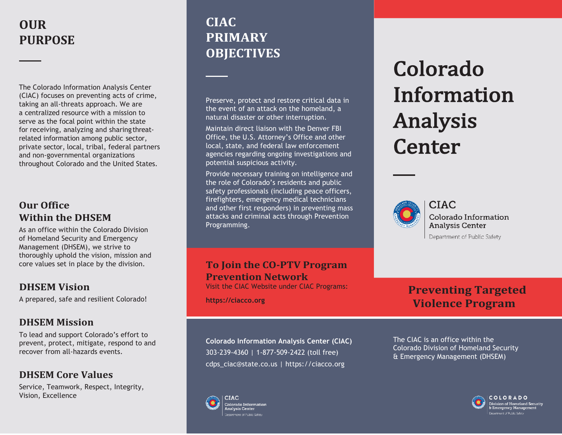# **OUR PURPOSE**

The Colorado Information Analysis Center (CIAC) focuses on preventing acts of crime, taking an all-threats approach. We are a centralized resource with a mission to serve as the focal point within the state for receiving, analyzing and sharing threatrelated information among public sector, private sector, local, tribal, federal partners and non-governmental organizations throughout Colorado and the United States.

## **Our Office Within the DHSEM**

As an office within the Colorado Division of Homeland Security and Emergency Management (DHSEM), we strive to thoroughly uphold the vision, mission and core values set in place by the division.

## **DHSEM Vision**

A prepared, safe and resilient Colorado!

## **DHSEM Mission**

To lead and support Colorado's effort to prevent, protect, mitigate, respond to and recover from all-hazards events.

## **DHSEM Core Values**

Service, Teamwork, Respect, Integrity, Vision, Excellence

# **CIAC PRIMARY OBJECTIVES**

Preserve, protect and restore critical data in the event of an attack on the homeland, a natural disaster or other interruption.

Maintain direct liaison with the Denver FBI Office, the U.S. Attorney's Office and other local, state, and federal law enforcement agencies regarding ongoing investigations and potential suspicious activity.

Provide necessary training on intelligence and the role of Colorado's residents and public safety professionals (including peace officers, firefighters, emergency medical technicians and other first responders) in preventing mass attacks and criminal acts through Prevention Programming.

## **To Join the CO-PTV Program Prevention Network**

Visit the CIAC Website under CIAC Programs:

**https://ciacco.org**

**Colorado Information Analysis Center (CIAC)** 303-239-4360 | 1-877-509-2422 (toll free) [cdps\\_ciac@state.co.us](mailto:cdps_ciac@state.co.us) | https://ciacco.org

Colorado Information Analysis **Center** 



**CIAC** Colorado Information **Analysis Center** Department of Public Safety

## **Preventing Targeted Violence Program**



The CIAC is an office within the Colorado Division of Homeland Security & Emergency Management (DHSEM)